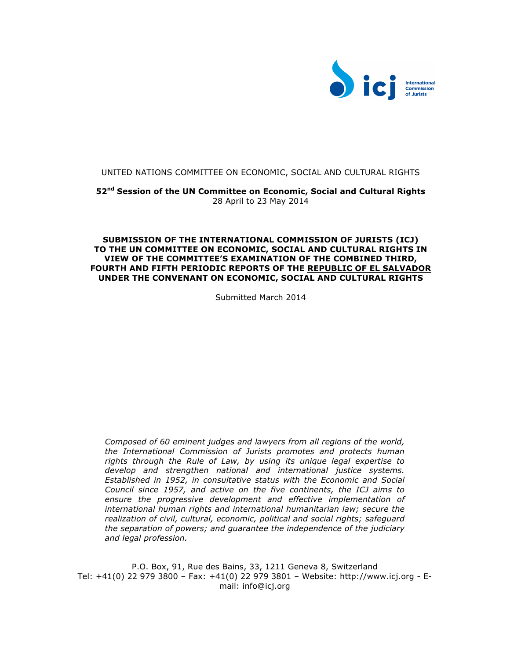

#### UNITED NATIONS COMMITTEE ON ECONOMIC, SOCIAL AND CULTURAL RIGHTS

**52nd Session of the UN Committee on Economic, Social and Cultural Rights** 28 April to 23 May 2014

#### **SUBMISSION OF THE INTERNATIONAL COMMISSION OF JURISTS (ICJ) TO THE UN COMMITTEE ON ECONOMIC, SOCIAL AND CULTURAL RIGHTS IN VIEW OF THE COMMITTEE'S EXAMINATION OF THE COMBINED THIRD, FOURTH AND FIFTH PERIODIC REPORTS OF THE REPUBLIC OF EL SALVADOR UNDER THE CONVENANT ON ECONOMIC, SOCIAL AND CULTURAL RIGHTS**

Submitted March 2014

*Composed of 60 eminent judges and lawyers from all regions of the world, the International Commission of Jurists promotes and protects human rights through the Rule of Law, by using its unique legal expertise to develop and strengthen national and international justice systems. Established in 1952, in consultative status with the Economic and Social Council since 1957, and active on the five continents, the ICJ aims to ensure the progressive development and effective implementation of international human rights and international humanitarian law; secure the realization of civil, cultural, economic, political and social rights; safeguard the separation of powers; and guarantee the independence of the judiciary and legal profession.*

P.O. Box, 91, Rue des Bains, 33, 1211 Geneva 8, Switzerland Tel: +41(0) 22 979 3800 – Fax: +41(0) 22 979 3801 – Website: http://www.icj.org - Email: info@icj.org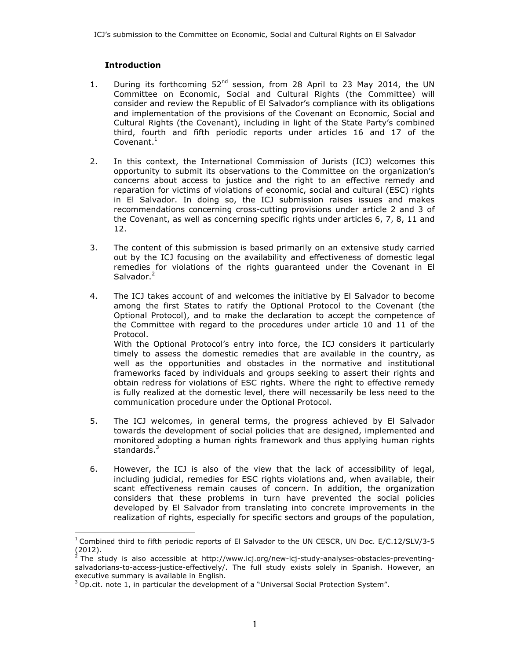# **Introduction**

- 1. During its forthcoming  $52^{nd}$  session, from 28 April to 23 May 2014, the UN Committee on Economic, Social and Cultural Rights (the Committee) will consider and review the Republic of El Salvador's compliance with its obligations and implementation of the provisions of the Covenant on Economic, Social and Cultural Rights (the Covenant), including in light of the State Party's combined third, fourth and fifth periodic reports under articles 16 and 17 of the Covenant. $1$
- 2. In this context, the International Commission of Jurists (ICJ) welcomes this opportunity to submit its observations to the Committee on the organization's concerns about access to justice and the right to an effective remedy and reparation for victims of violations of economic, social and cultural (ESC) rights in El Salvador. In doing so, the ICJ submission raises issues and makes recommendations concerning cross-cutting provisions under article 2 and 3 of the Covenant, as well as concerning specific rights under articles 6, 7, 8, 11 and 12.
- 3. The content of this submission is based primarily on an extensive study carried out by the ICJ focusing on the availability and effectiveness of domestic legal remedies for violations of the rights guaranteed under the Covenant in El Salvador.<sup>2</sup>
- 4. The ICJ takes account of and welcomes the initiative by El Salvador to become among the first States to ratify the Optional Protocol to the Covenant (the Optional Protocol), and to make the declaration to accept the competence of the Committee with regard to the procedures under article 10 and 11 of the Protocol. With the Optional Protocol's entry into force, the ICJ considers it particularly timely to assess the domestic remedies that are available in the country, as well as the opportunities and obstacles in the normative and institutional frameworks faced by individuals and groups seeking to assert their rights and obtain redress for violations of ESC rights. Where the right to effective remedy is fully realized at the domestic level, there will necessarily be less need to the communication procedure under the Optional Protocol.
- 5. The ICJ welcomes, in general terms, the progress achieved by El Salvador towards the development of social policies that are designed, implemented and monitored adopting a human rights framework and thus applying human rights standards. $3$
- 6. However, the ICJ is also of the view that the lack of accessibility of legal, including judicial, remedies for ESC rights violations and, when available, their scant effectiveness remain causes of concern. In addition, the organization considers that these problems in turn have prevented the social policies developed by El Salvador from translating into concrete improvements in the realization of rights, especially for specific sectors and groups of the population,

 $\overline{a}$  $1$  Combined third to fifth periodic reports of El Salvador to the UN CESCR, UN Doc. E/C.12/SLV/3-5  $(2012)$ .

<sup>2</sup> The study is also accessible at http://www.icj.org/new-icj-study-analyses-obstacles-preventingsalvadorians-to-access-justice-effectively/. The full study exists solely in Spanish. However, an executive summary is available in English.

 $3$  Op.cit. note 1, in particular the development of a "Universal Social Protection System".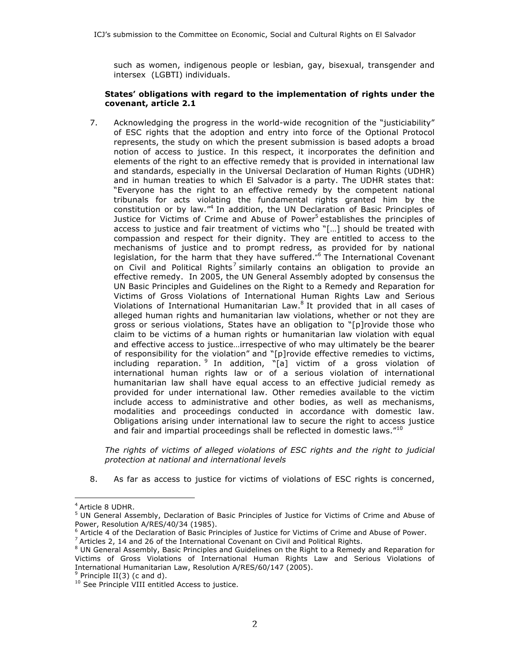such as women, indigenous people or lesbian, gay, bisexual, transgender and intersex (LGBTI) individuals.

### **States' obligations with regard to the implementation of rights under the covenant, article 2.1**

7. Acknowledging the progress in the world-wide recognition of the "justiciability" of ESC rights that the adoption and entry into force of the Optional Protocol represents, the study on which the present submission is based adopts a broad notion of access to justice. In this respect, it incorporates the definition and elements of the right to an effective remedy that is provided in international law and standards, especially in the Universal Declaration of Human Rights (UDHR) and in human treaties to which El Salvador is a party. The UDHR states that: "Everyone has the right to an effective remedy by the competent national tribunals for acts violating the fundamental rights granted him by the constitution or by law." <sup>4</sup> In addition, the UN Declaration of Basic Principles of Justice for Victims of Crime and Abuse of Power<sup>5</sup> establishes the principles of access to justice and fair treatment of victims who "[…] should be treated with compassion and respect for their dignity. They are entitled to access to the mechanisms of justice and to prompt redress, as provided for by national legislation, for the harm that they have suffered." The International Covenant on Civil and Political Rights<sup>7</sup> similarly contains an obligation to provide an effective remedy. In 2005, the UN General Assembly adopted by consensus the UN Basic Principles and Guidelines on the Right to a Remedy and Reparation for Victims of Gross Violations of International Human Rights Law and Serious Violations of International Humanitarian Law. $8$  It provided that in all cases of alleged human rights and humanitarian law violations, whether or not they are gross or serious violations, States have an obligation to "[p]rovide those who claim to be victims of a human rights or humanitarian law violation with equal and effective access to justice…irrespective of who may ultimately be the bearer of responsibility for the violation" and "[p]rovide effective remedies to victims, including reparation. <sup>9</sup> In addition, "[a] victim of a gross violation of international human rights law or of a serious violation of international humanitarian law shall have equal access to an effective judicial remedy as provided for under international law. Other remedies available to the victim include access to administrative and other bodies, as well as mechanisms, modalities and proceedings conducted in accordance with domestic law. Obligations arising under international law to secure the right to access justice and fair and impartial proceedings shall be reflected in domestic laws."<sup>10</sup>

*The rights of victims of alleged violations of ESC rights and the right to judicial protection at national and international levels*

8. As far as access to justice for victims of violations of ESC rights is concerned,

<sup>4</sup> Article 8 UDHR.

<sup>&</sup>lt;sup>5</sup> UN General Assembly, Declaration of Basic Principles of Justice for Victims of Crime and Abuse of Power, Resolution A/RES/40/34 (1985).

<sup>6</sup> Article 4 of the Declaration of Basic Principles of Justice for Victims of Crime and Abuse of Power.

<sup>7</sup> Articles 2, 14 and 26 of the International Covenant on Civil and Political Rights.

<sup>&</sup>lt;sup>8</sup> UN General Assembly, Basic Principles and Guidelines on the Right to a Remedy and Reparation for Victims of Gross Violations of International Human Rights Law and Serious Violations of International Humanitarian Law, Resolution A/RES/60/147 (2005).

 $9$  Principle II(3) (c and d).

<sup>&</sup>lt;sup>10</sup> See Principle VIII entitled Access to justice.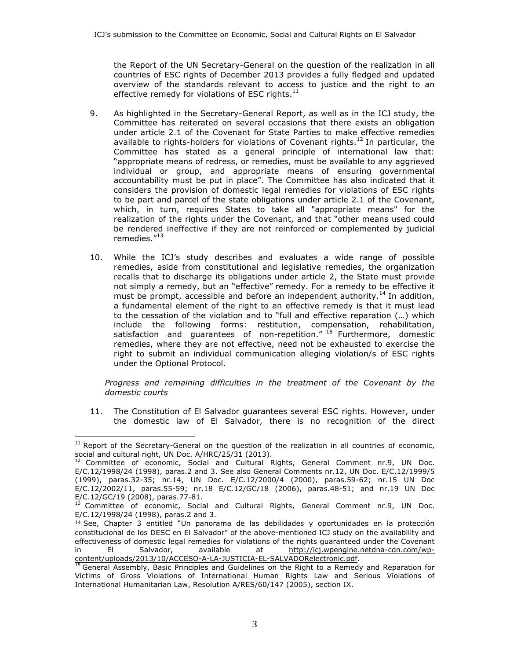the Report of the UN Secretary-General on the question of the realization in all countries of ESC rights of December 2013 provides a fully fledged and updated overview of the standards relevant to access to justice and the right to an effective remedy for violations of ESC rights. $^{11}$ 

- 9. As highlighted in the Secretary-General Report, as well as in the ICJ study, the Committee has reiterated on several occasions that there exists an obligation under article 2.1 of the Covenant for State Parties to make effective remedies available to rights-holders for violations of Covenant rights.<sup>12</sup> In particular, the Committee has stated as a general principle of international law that: "appropriate means of redress, or remedies, must be available to any aggrieved individual or group, and appropriate means of ensuring governmental accountability must be put in place". The Committee has also indicated that it considers the provision of domestic legal remedies for violations of ESC rights to be part and parcel of the state obligations under article 2.1 of the Covenant, which, in turn, requires States to take all "appropriate means" for the realization of the rights under the Covenant, and that "other means used could be rendered ineffective if they are not reinforced or complemented by judicial remedies."<sup>13</sup>
- 10. While the ICJ's study describes and evaluates a wide range of possible remedies, aside from constitutional and legislative remedies, the organization recalls that to discharge its obligations under article 2, the State must provide not simply a remedy, but an "effective" remedy. For a remedy to be effective it must be prompt, accessible and before an independent authority.<sup>14</sup> In addition, a fundamental element of the right to an effective remedy is that it must lead to the cessation of the violation and to "full and effective reparation (…) which include the following forms: restitution, compensation, rehabilitation, satisfaction and guarantees of non-repetition." <sup>15</sup> Furthermore, domestic remedies, where they are not effective, need not be exhausted to exercise the right to submit an individual communication alleging violation/s of ESC rights under the Optional Protocol.

*Progress and remaining difficulties in the treatment of the Covenant by the domestic courts*

11. The Constitution of El Salvador guarantees several ESC rights. However, under the domestic law of El Salvador, there is no recognition of the direct

 $11$  Report of the Secretary-General on the question of the realization in all countries of economic, social and cultural right, UN Doc. A/HRC/25/31 (2013).

 $12$  Committee of economic, Social and Cultural Rights, General Comment nr.9, UN Doc. E/C.12/1998/24 (1998), paras.2 and 3. See also General Comments nr.12, UN Doc. E/C.12/1999/5 (1999), paras.32-35; nr.14, UN Doc. E/C.12/2000/4 (2000), paras.59-62; nr.15 UN Doc E/C.12/2002/11, paras.55-59; nr.18 E/C.12/GC/18 (2006), paras.48-51; and nr.19 UN Doc E/C.12/GC/19 (2008), paras.77-81.

Committee of economic, Social and Cultural Rights, General Comment nr.9, UN Doc. E/C.12/1998/24 (1998), paras.2 and 3.

 $14$  See, Chapter 3 entitled "Un panorama de las debilidades y oportunidades en la protección constitucional de los DESC en El Salvador" of the above-mentioned ICJ study on the availability and effectiveness of domestic legal remedies for violations of the rights guaranteed under the Covenant in El Salvador, available at http://icj.wpengine.netdna-cdn.com/wpcontent/uploads/2013/10/ACCESO-A-LA-JUSTICIA-EL-SALVADORelectronic.pdf.

<sup>&</sup>lt;sup>15</sup> General Assembly, Basic Principles and Guidelines on the Right to a Remedy and Reparation for Victims of Gross Violations of International Human Rights Law and Serious Violations of International Humanitarian Law, Resolution A/RES/60/147 (2005), section IX.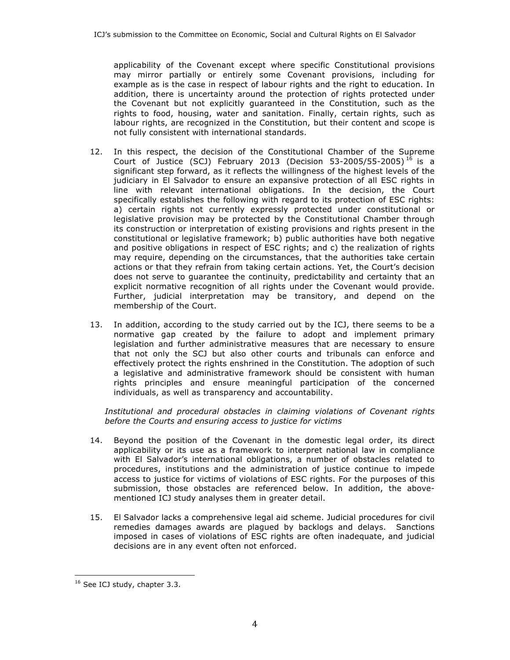applicability of the Covenant except where specific Constitutional provisions may mirror partially or entirely some Covenant provisions, including for example as is the case in respect of labour rights and the right to education. In addition, there is uncertainty around the protection of rights protected under the Covenant but not explicitly guaranteed in the Constitution, such as the rights to food, housing, water and sanitation. Finally, certain rights, such as labour rights, are recognized in the Constitution, but their content and scope is not fully consistent with international standards.

- 12. In this respect, the decision of the Constitutional Chamber of the Supreme Court of Justice (SCJ) February 2013 (Decision 53-2005/55-2005)<sup>16</sup> is a significant step forward, as it reflects the willingness of the highest levels of the judiciary in El Salvador to ensure an expansive protection of all ESC rights in line with relevant international obligations. In the decision, the Court specifically establishes the following with regard to its protection of ESC rights: a) certain rights not currently expressly protected under constitutional or legislative provision may be protected by the Constitutional Chamber through its construction or interpretation of existing provisions and rights present in the constitutional or legislative framework; b) public authorities have both negative and positive obligations in respect of ESC rights; and c) the realization of rights may require, depending on the circumstances, that the authorities take certain actions or that they refrain from taking certain actions. Yet, the Court's decision does not serve to guarantee the continuity, predictability and certainty that an explicit normative recognition of all rights under the Covenant would provide. Further, judicial interpretation may be transitory, and depend on the membership of the Court.
- 13. In addition, according to the study carried out by the ICJ, there seems to be a normative gap created by the failure to adopt and implement primary legislation and further administrative measures that are necessary to ensure that not only the SCJ but also other courts and tribunals can enforce and effectively protect the rights enshrined in the Constitution. The adoption of such a legislative and administrative framework should be consistent with human rights principles and ensure meaningful participation of the concerned individuals, as well as transparency and accountability.

*Institutional and procedural obstacles in claiming violations of Covenant rights before the Courts and ensuring access to justice for victims*

- 14. Beyond the position of the Covenant in the domestic legal order, its direct applicability or its use as a framework to interpret national law in compliance with El Salvador's international obligations, a number of obstacles related to procedures, institutions and the administration of justice continue to impede access to justice for victims of violations of ESC rights. For the purposes of this submission, those obstacles are referenced below. In addition, the abovementioned ICJ study analyses them in greater detail.
- 15. El Salvador lacks a comprehensive legal aid scheme. Judicial procedures for civil remedies damages awards are plagued by backlogs and delays. Sanctions imposed in cases of violations of ESC rights are often inadequate, and judicial decisions are in any event often not enforced.

 $\overline{a}$ <sup>16</sup> See ICJ study, chapter 3.3.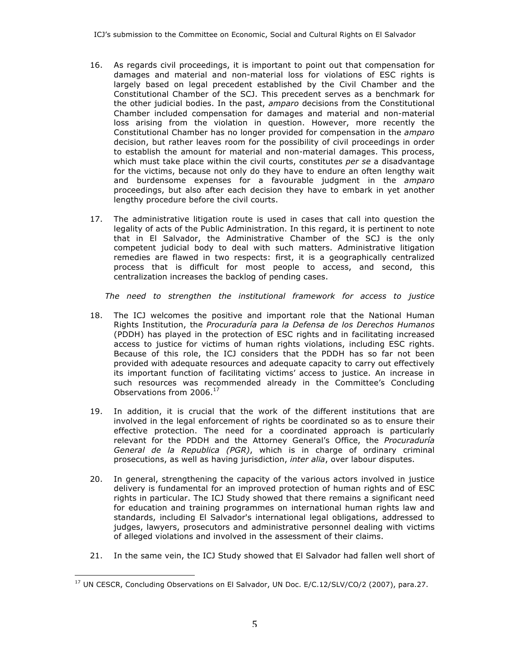- 16. As regards civil proceedings, it is important to point out that compensation for damages and material and non-material loss for violations of ESC rights is largely based on legal precedent established by the Civil Chamber and the Constitutional Chamber of the SCJ. This precedent serves as a benchmark for the other judicial bodies. In the past, *amparo* decisions from the Constitutional Chamber included compensation for damages and material and non-material loss arising from the violation in question. However, more recently the Constitutional Chamber has no longer provided for compensation in the *amparo* decision, but rather leaves room for the possibility of civil proceedings in order to establish the amount for material and non-material damages. This process, which must take place within the civil courts, constitutes *per se* a disadvantage for the victims, because not only do they have to endure an often lengthy wait and burdensome expenses for a favourable judgment in the *amparo* proceedings, but also after each decision they have to embark in yet another lengthy procedure before the civil courts.
- 17. The administrative litigation route is used in cases that call into question the legality of acts of the Public Administration. In this regard, it is pertinent to note that in El Salvador, the Administrative Chamber of the SCJ is the only competent judicial body to deal with such matters. Administrative litigation remedies are flawed in two respects: first, it is a geographically centralized process that is difficult for most people to access, and second, this centralization increases the backlog of pending cases.

*The need to strengthen the institutional framework for access to justice*

- 18. The ICJ welcomes the positive and important role that the National Human Rights Institution, the *Procuraduría para la Defensa de los Derechos Humanos* (PDDH) has played in the protection of ESC rights and in facilitating increased access to justice for victims of human rights violations, including ESC rights. Because of this role, the ICJ considers that the PDDH has so far not been provided with adequate resources and adequate capacity to carry out effectively its important function of facilitating victims' access to justice. An increase in such resources was recommended already in the Committee's Concluding Observations from 2006.<sup>17</sup>
- 19. In addition, it is crucial that the work of the different institutions that are involved in the legal enforcement of rights be coordinated so as to ensure their effective protection. The need for a coordinated approach is particularly relevant for the PDDH and the Attorney General's Office, the *Procuraduría General de la Republica (PGR)*, which is in charge of ordinary criminal prosecutions, as well as having jurisdiction, *inter alia*, over labour disputes.
- 20. In general, strengthening the capacity of the various actors involved in justice delivery is fundamental for an improved protection of human rights and of ESC rights in particular. The ICJ Study showed that there remains a significant need for education and training programmes on international human rights law and standards, including El Salvador's international legal obligations, addressed to judges, lawyers, prosecutors and administrative personnel dealing with victims of alleged violations and involved in the assessment of their claims.
- 21. In the same vein, the ICJ Study showed that El Salvador had fallen well short of

 $\overline{a}$ <sup>17</sup> UN CESCR, Concluding Observations on El Salvador, UN Doc. E/C.12/SLV/CO/2 (2007), para.27.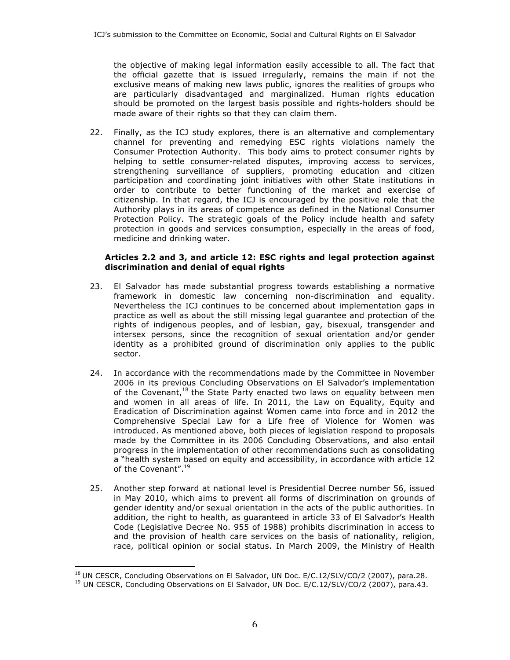the objective of making legal information easily accessible to all. The fact that the official gazette that is issued irregularly, remains the main if not the exclusive means of making new laws public, ignores the realities of groups who are particularly disadvantaged and marginalized. Human rights education should be promoted on the largest basis possible and rights-holders should be made aware of their rights so that they can claim them.

22. Finally, as the ICJ study explores, there is an alternative and complementary channel for preventing and remedying ESC rights violations namely the Consumer Protection Authority. This body aims to protect consumer rights by helping to settle consumer-related disputes, improving access to services, strengthening surveillance of suppliers, promoting education and citizen participation and coordinating joint initiatives with other State institutions in order to contribute to better functioning of the market and exercise of citizenship. In that regard, the ICJ is encouraged by the positive role that the Authority plays in its areas of competence as defined in the National Consumer Protection Policy. The strategic goals of the Policy include health and safety protection in goods and services consumption, especially in the areas of food, medicine and drinking water.

### **Articles 2.2 and 3, and article 12: ESC rights and legal protection against discrimination and denial of equal rights**

- 23. El Salvador has made substantial progress towards establishing a normative framework in domestic law concerning non-discrimination and equality. Nevertheless the ICJ continues to be concerned about implementation gaps in practice as well as about the still missing legal guarantee and protection of the rights of indigenous peoples, and of lesbian, gay, bisexual, transgender and intersex persons, since the recognition of sexual orientation and/or gender identity as a prohibited ground of discrimination only applies to the public sector.
- 24. In accordance with the recommendations made by the Committee in November 2006 in its previous Concluding Observations on El Salvador's implementation of the Covenant, $18$  the State Party enacted two laws on equality between men and women in all areas of life. In 2011, the Law on Equality, Equity and Eradication of Discrimination against Women came into force and in 2012 the Comprehensive Special Law for a Life free of Violence for Women was introduced. As mentioned above, both pieces of legislation respond to proposals made by the Committee in its 2006 Concluding Observations, and also entail progress in the implementation of other recommendations such as consolidating a "health system based on equity and accessibility, in accordance with article 12 of the Covenant".<sup>19</sup>
- 25. Another step forward at national level is Presidential Decree number 56, issued in May 2010, which aims to prevent all forms of discrimination on grounds of gender identity and/or sexual orientation in the acts of the public authorities. In addition, the right to health, as guaranteed in article 33 of El Salvador's Health Code (Legislative Decree No. 955 of 1988) prohibits discrimination in access to and the provision of health care services on the basis of nationality, religion, race, political opinion or social status. In March 2009, the Ministry of Health

 $\overline{a}$  $<sup>18</sup>$  UN CESCR, Concluding Observations on El Salvador, UN Doc. E/C.12/SLV/CO/2 (2007), para.28.</sup>

<sup>&</sup>lt;sup>19</sup> UN CESCR, Concluding Observations on El Salvador, UN Doc. E/C.12/SLV/CO/2 (2007), para.43.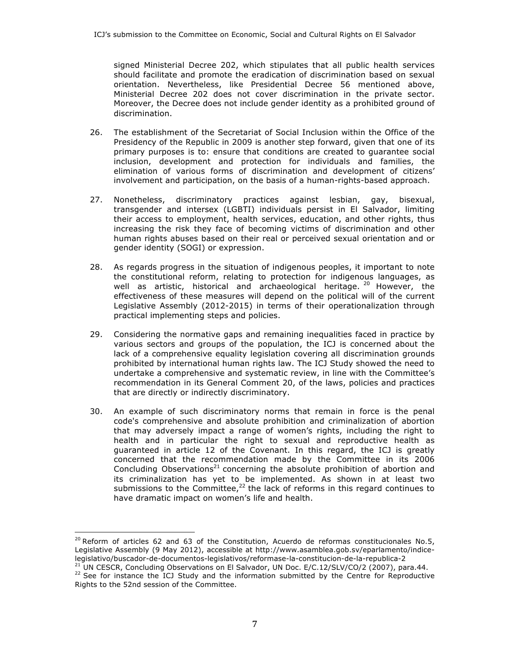signed Ministerial Decree 202, which stipulates that all public health services should facilitate and promote the eradication of discrimination based on sexual orientation. Nevertheless, like Presidential Decree 56 mentioned above, Ministerial Decree 202 does not cover discrimination in the private sector. Moreover, the Decree does not include gender identity as a prohibited ground of discrimination.

- 26. The establishment of the Secretariat of Social Inclusion within the Office of the Presidency of the Republic in 2009 is another step forward, given that one of its primary purposes is to: ensure that conditions are created to guarantee social inclusion, development and protection for individuals and families, the elimination of various forms of discrimination and development of citizens' involvement and participation, on the basis of a human-rights-based approach.
- 27. Nonetheless, discriminatory practices against lesbian, gay, bisexual, transgender and intersex (LGBTI) individuals persist in El Salvador, limiting their access to employment, health services, education, and other rights, thus increasing the risk they face of becoming victims of discrimination and other human rights abuses based on their real or perceived sexual orientation and or gender identity (SOGI) or expression.
- 28. As regards progress in the situation of indigenous peoples, it important to note the constitutional reform, relating to protection for indigenous languages, as well as artistic, historical and archaeological heritage.<sup>20</sup> However, the effectiveness of these measures will depend on the political will of the current Legislative Assembly (2012-2015) in terms of their operationalization through practical implementing steps and policies.
- 29. Considering the normative gaps and remaining inequalities faced in practice by various sectors and groups of the population, the ICJ is concerned about the lack of a comprehensive equality legislation covering all discrimination grounds prohibited by international human rights law. The ICJ Study showed the need to undertake a comprehensive and systematic review, in line with the Committee's recommendation in its General Comment 20, of the laws, policies and practices that are directly or indirectly discriminatory.
- 30. An example of such discriminatory norms that remain in force is the penal code's comprehensive and absolute prohibition and criminalization of abortion that may adversely impact a range of women's rights, including the right to health and in particular the right to sexual and reproductive health as guaranteed in article 12 of the Covenant. In this regard, the ICJ is greatly concerned that the recommendation made by the Committee in its 2006 Concluding Observations<sup>21</sup> concerning the absolute prohibition of abortion and its criminalization has yet to be implemented. As shown in at least two submissions to the Committee,<sup>22</sup> the lack of reforms in this regard continues to have dramatic impact on women's life and health.

 $^{20}$  Reform of articles 62 and 63 of the Constitution, Acuerdo de reformas constitucionales No.5, Legislative Assembly (9 May 2012), accessible at http://www.asamblea.gob.sv/eparlamento/indicelegislativo/buscador-de-documentos-legislativos/reformase-la-constitucion-de-la-republica-2

<sup>&</sup>lt;sup>21</sup> UN CESCR, Concluding Observations on El Salvador, UN Doc. E/C.12/SLV/CO/2 (2007), para.44.  $22$  See for instance the ICJ Study and the information submitted by the Centre for Reproductive Rights to the 52nd session of the Committee.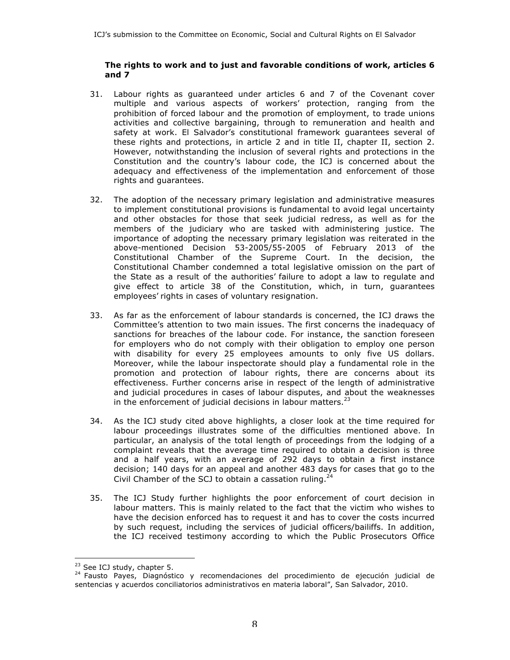### **The rights to work and to just and favorable conditions of work, articles 6 and 7**

- 31. Labour rights as guaranteed under articles 6 and 7 of the Covenant cover multiple and various aspects of workers' protection, ranging from the prohibition of forced labour and the promotion of employment, to trade unions activities and collective bargaining, through to remuneration and health and safety at work. El Salvador's constitutional framework guarantees several of these rights and protections, in article 2 and in title II, chapter II, section 2. However, notwithstanding the inclusion of several rights and protections in the Constitution and the country's labour code, the ICJ is concerned about the adequacy and effectiveness of the implementation and enforcement of those rights and guarantees.
- 32. The adoption of the necessary primary legislation and administrative measures to implement constitutional provisions is fundamental to avoid legal uncertainty and other obstacles for those that seek judicial redress, as well as for the members of the judiciary who are tasked with administering justice. The importance of adopting the necessary primary legislation was reiterated in the above-mentioned Decision 53-2005/55-2005 of February 2013 of the Constitutional Chamber of the Supreme Court. In the decision, the Constitutional Chamber condemned a total legislative omission on the part of the State as a result of the authorities' failure to adopt a law to regulate and give effect to article 38 of the Constitution, which, in turn, guarantees employees' rights in cases of voluntary resignation.
- 33. As far as the enforcement of labour standards is concerned, the ICJ draws the Committee's attention to two main issues. The first concerns the inadequacy of sanctions for breaches of the labour code. For instance, the sanction foreseen for employers who do not comply with their obligation to employ one person with disability for every 25 employees amounts to only five US dollars. Moreover, while the labour inspectorate should play a fundamental role in the promotion and protection of labour rights, there are concerns about its effectiveness. Further concerns arise in respect of the length of administrative and judicial procedures in cases of labour disputes, and about the weaknesses in the enforcement of judicial decisions in labour matters. $^{23}$
- 34. As the ICJ study cited above highlights, a closer look at the time required for labour proceedings illustrates some of the difficulties mentioned above. In particular, an analysis of the total length of proceedings from the lodging of a complaint reveals that the average time required to obtain a decision is three and a half years, with an average of 292 days to obtain a first instance decision; 140 days for an appeal and another 483 days for cases that go to the Civil Chamber of the SCJ to obtain a cassation ruling. $^{24}$
- 35. The ICJ Study further highlights the poor enforcement of court decision in labour matters. This is mainly related to the fact that the victim who wishes to have the decision enforced has to request it and has to cover the costs incurred by such request, including the services of judicial officers/bailiffs. In addition, the ICJ received testimony according to which the Public Prosecutors Office

 $23$  See ICJ study, chapter 5.

<sup>24</sup> Fausto Payes, Diagnóstico y recomendaciones del procedimiento de ejecución judicial de sentencias y acuerdos conciliatorios administrativos en materia laboral", San Salvador, 2010.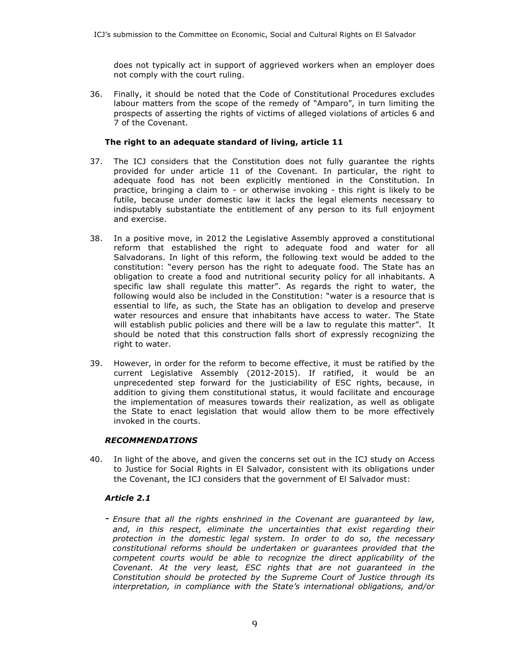does not typically act in support of aggrieved workers when an employer does not comply with the court ruling.

36. Finally, it should be noted that the Code of Constitutional Procedures excludes labour matters from the scope of the remedy of "Amparo", in turn limiting the prospects of asserting the rights of victims of alleged violations of articles 6 and 7 of the Covenant.

## **The right to an adequate standard of living, article 11**

- 37. The ICJ considers that the Constitution does not fully guarantee the rights provided for under article 11 of the Covenant. In particular, the right to adequate food has not been explicitly mentioned in the Constitution. In practice, bringing a claim to - or otherwise invoking - this right is likely to be futile, because under domestic law it lacks the legal elements necessary to indisputably substantiate the entitlement of any person to its full enjoyment and exercise.
- 38. In a positive move, in 2012 the Legislative Assembly approved a constitutional reform that established the right to adequate food and water for all Salvadorans. In light of this reform, the following text would be added to the constitution: "every person has the right to adequate food. The State has an obligation to create a food and nutritional security policy for all inhabitants. A specific law shall regulate this matter". As regards the right to water, the following would also be included in the Constitution: "water is a resource that is essential to life, as such, the State has an obligation to develop and preserve water resources and ensure that inhabitants have access to water. The State will establish public policies and there will be a law to regulate this matter". It should be noted that this construction falls short of expressly recognizing the right to water.
- 39. However, in order for the reform to become effective, it must be ratified by the current Legislative Assembly (2012-2015). If ratified, it would be an unprecedented step forward for the justiciability of ESC rights, because, in addition to giving them constitutional status, it would facilitate and encourage the implementation of measures towards their realization, as well as obligate the State to enact legislation that would allow them to be more effectively invoked in the courts.

## *RECOMMENDATIONS*

40. In light of the above, and given the concerns set out in the ICJ study on Access to Justice for Social Rights in El Salvador, consistent with its obligations under the Covenant, the ICJ considers that the government of El Salvador must:

## *Article 2.1*

*- Ensure that all the rights enshrined in the Covenant are guaranteed by law, and, in this respect, eliminate the uncertainties that exist regarding their protection in the domestic legal system. In order to do so, the necessary constitutional reforms should be undertaken or guarantees provided that the competent courts would be able to recognize the direct applicability of the Covenant. At the very least, ESC rights that are not guaranteed in the Constitution should be protected by the Supreme Court of Justice through its interpretation, in compliance with the State's international obligations, and/or*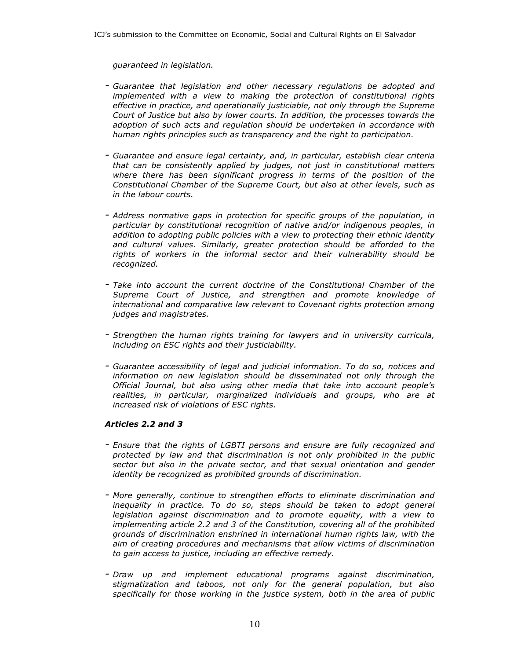*guaranteed in legislation.*

- *- Guarantee that legislation and other necessary regulations be adopted and implemented with a view to making the protection of constitutional rights effective in practice, and operationally justiciable, not only through the Supreme Court of Justice but also by lower courts. In addition, the processes towards the adoption of such acts and regulation should be undertaken in accordance with human rights principles such as transparency and the right to participation.*
- *- Guarantee and ensure legal certainty, and, in particular, establish clear criteria that can be consistently applied by judges, not just in constitutional matters where there has been significant progress in terms of the position of the Constitutional Chamber of the Supreme Court, but also at other levels, such as in the labour courts.*
- *- Address normative gaps in protection for specific groups of the population, in particular by constitutional recognition of native and/or indigenous peoples, in addition to adopting public policies with a view to protecting their ethnic identity and cultural values. Similarly, greater protection should be afforded to the rights of workers in the informal sector and their vulnerability should be recognized.*
- *- Take into account the current doctrine of the Constitutional Chamber of the Supreme Court of Justice, and strengthen and promote knowledge of international and comparative law relevant to Covenant rights protection among judges and magistrates.*
- *- Strengthen the human rights training for lawyers and in university curricula, including on ESC rights and their justiciability.*
- *- Guarantee accessibility of legal and judicial information. To do so, notices and information on new legislation should be disseminated not only through the Official Journal, but also using other media that take into account people's realities, in particular, marginalized individuals and groups, who are at increased risk of violations of ESC rights.*

## *Articles 2.2 and 3*

- *- Ensure that the rights of LGBTI persons and ensure are fully recognized and protected by law and that discrimination is not only prohibited in the public sector but also in the private sector, and that sexual orientation and gender identity be recognized as prohibited grounds of discrimination.*
- *- More generally, continue to strengthen efforts to eliminate discrimination and inequality in practice. To do so, steps should be taken to adopt general legislation against discrimination and to promote equality, with a view to implementing article 2.2 and 3 of the Constitution, covering all of the prohibited grounds of discrimination enshrined in international human rights law, with the aim of creating procedures and mechanisms that allow victims of discrimination to gain access to justice, including an effective remedy.*
- *- Draw up and implement educational programs against discrimination, stigmatization and taboos, not only for the general population, but also specifically for those working in the justice system, both in the area of public*